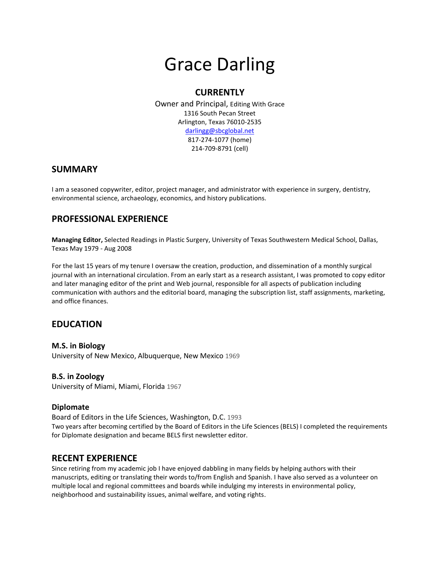# Grace Darling

## **CURRENTLY**

Owner and Principal, Editing With Grace 1316 South Pecan Street Arlington, Texas 76010-2535 [darlingg@sbcglobal.net](mailto:darlingg@sbcglobal.net) 817-274-1077 (home) 214-709-8791 (cell)

### **SUMMARY**

I am a seasoned copywriter, editor, project manager, and administrator with experience in surgery, dentistry, environmental science, archaeology, economics, and history publications.

# **PROFESSIONAL EXPERIENCE**

**Managing Editor,** Selected Readings in Plastic Surgery, University of Texas Southwestern Medical School, Dallas, Texas May 1979 - Aug 2008

For the last 15 years of my tenure I oversaw the creation, production, and dissemination of a monthly surgical journal with an international circulation. From an early start as a research assistant, I was promoted to copy editor and later managing editor of the print and Web journal, responsible for all aspects of publication including communication with authors and the editorial board, managing the subscription list, staff assignments, marketing, and office finances.

## **EDUCATION**

**M.S. in Biology** University of New Mexico, Albuquerque, New Mexico 1969

#### **B.S. in Zoology**

University of Miami, Miami, Florida 1967

#### **Diplomate**

Board of Editors in the Life Sciences, Washington, D.C. 1993 Two years after becoming certified by the Board of Editors in the Life Sciences (BELS) I completed the requirements for Diplomate designation and became BELS first newsletter editor.

### **RECENT EXPERIENCE**

Since retiring from my academic job I have enjoyed dabbling in many fields by helping authors with their manuscripts, editing or translating their words to/from English and Spanish. I have also served as a volunteer on multiple local and regional committees and boards while indulging my interests in environmental policy, neighborhood and sustainability issues, animal welfare, and voting rights.